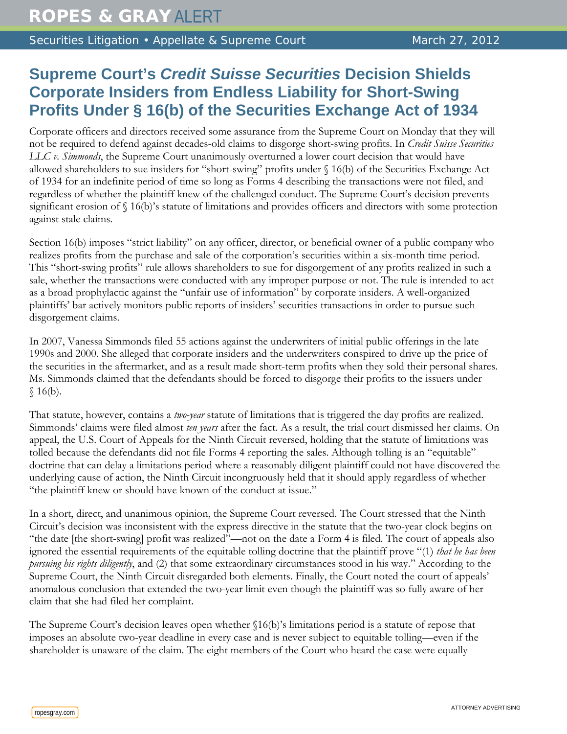Securities Litigation • Appellate & Supreme Court March 27, 2012

## **Supreme Court's** *Credit Suisse Securities* **Decision Shields Corporate Insiders from Endless Liability for Short-Swing Profits Under § 16(b) of the Securities Exchange Act of 1934**

Corporate officers and directors received some assurance from the Supreme Court on Monday that they will not be required to defend against decades-old claims to disgorge short-swing profits. In *Credit Suisse Securities LLC v. Simmonds*, the Supreme Court unanimously overturned a lower court decision that would have allowed shareholders to sue insiders for "short-swing" profits under § 16(b) of the Securities Exchange Act of 1934 for an indefinite period of time so long as Forms 4 describing the transactions were not filed, and regardless of whether the plaintiff knew of the challenged conduct. The Supreme Court's decision prevents significant erosion of § 16(b)'s statute of limitations and provides officers and directors with some protection against stale claims.

Section 16(b) imposes "strict liability" on any officer, director, or beneficial owner of a public company who realizes profits from the purchase and sale of the corporation's securities within a six-month time period. This "short-swing profits" rule allows shareholders to sue for disgorgement of any profits realized in such a sale, whether the transactions were conducted with any improper purpose or not. The rule is intended to act as a broad prophylactic against the "unfair use of information" by corporate insiders. A well-organized plaintiffs' bar actively monitors public reports of insiders' securities transactions in order to pursue such disgorgement claims.

In 2007, Vanessa Simmonds filed 55 actions against the underwriters of initial public offerings in the late 1990s and 2000. She alleged that corporate insiders and the underwriters conspired to drive up the price of the securities in the aftermarket, and as a result made short-term profits when they sold their personal shares. Ms. Simmonds claimed that the defendants should be forced to disgorge their profits to the issuers under  $$16(b).$ 

That statute, however, contains a *two-year* statute of limitations that is triggered the day profits are realized. Simmonds' claims were filed almost *ten years* after the fact. As a result, the trial court dismissed her claims. On appeal, the U.S. Court of Appeals for the Ninth Circuit reversed, holding that the statute of limitations was tolled because the defendants did not file Forms 4 reporting the sales. Although tolling is an "equitable" doctrine that can delay a limitations period where a reasonably diligent plaintiff could not have discovered the underlying cause of action, the Ninth Circuit incongruously held that it should apply regardless of whether "the plaintiff knew or should have known of the conduct at issue."

In a short, direct, and unanimous opinion, the Supreme Court reversed. The Court stressed that the Ninth Circuit's decision was inconsistent with the express directive in the statute that the two-year clock begins on "the date [the short-swing] profit was realized"—not on the date a Form 4 is filed. The court of appeals also ignored the essential requirements of the equitable tolling doctrine that the plaintiff prove "(1) *that he has been pursuing his rights diligently*, and (2) that some extraordinary circumstances stood in his way." According to the Supreme Court, the Ninth Circuit disregarded both elements. Finally, the Court noted the court of appeals' anomalous conclusion that extended the two-year limit even though the plaintiff was so fully aware of her claim that she had filed her complaint.

The Supreme Court's decision leaves open whether §16(b)'s limitations period is a statute of repose that imposes an absolute two-year deadline in every case and is never subject to equitable tolling—even if the shareholder is unaware of the claim. The eight members of the Court who heard the case were equally